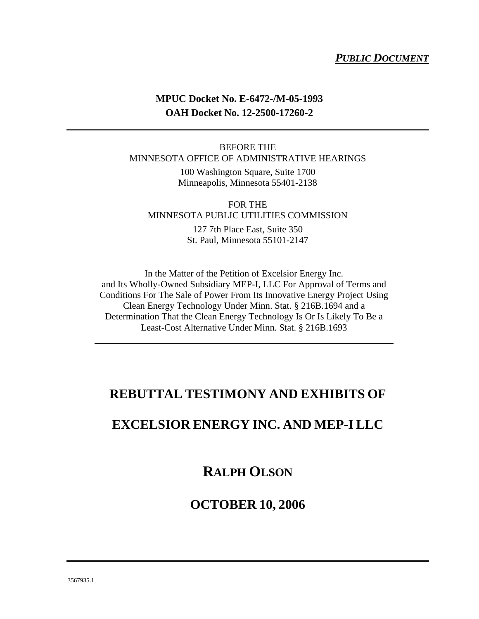#### *PUBLIC DOCUMENT*

#### **MPUC Docket No. E-6472-/M-05-1993 OAH Docket No. 12-2500-17260-2**

#### BEFORE THE MINNESOTA OFFICE OF ADMINISTRATIVE HEARINGS

100 Washington Square, Suite 1700 Minneapolis, Minnesota 55401-2138

FOR THE MINNESOTA PUBLIC UTILITIES COMMISSION

> 127 7th Place East, Suite 350 St. Paul, Minnesota 55101-2147

In the Matter of the Petition of Excelsior Energy Inc. and Its Wholly-Owned Subsidiary MEP-I, LLC For Approval of Terms and Conditions For The Sale of Power From Its Innovative Energy Project Using Clean Energy Technology Under Minn. Stat. § 216B.1694 and a Determination That the Clean Energy Technology Is Or Is Likely To Be a Least-Cost Alternative Under Minn. Stat. § 216B.1693

#### **REBUTTAL TESTIMONY AND EXHIBITS OF**

#### **EXCELSIOR ENERGY INC. AND MEP-I LLC**

#### **RALPH OLSON**

#### **OCTOBER 10, 2006**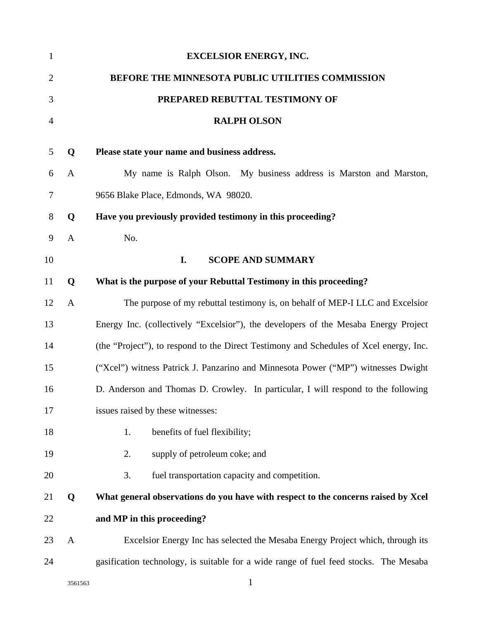| $\mathbf{1}$   |              | <b>EXCELSIOR ENERGY, INC.</b>                                                          |
|----------------|--------------|----------------------------------------------------------------------------------------|
| $\overline{2}$ |              | BEFORE THE MINNESOTA PUBLIC UTILITIES COMMISSION                                       |
| 3              |              | PREPARED REBUTTAL TESTIMONY OF                                                         |
| $\overline{4}$ |              | <b>RALPH OLSON</b>                                                                     |
| 5              | Q            | Please state your name and business address.                                           |
| 6              | $\mathbf{A}$ | My name is Ralph Olson. My business address is Marston and Marston,                    |
| 7              |              | 9656 Blake Place, Edmonds, WA 98020.                                                   |
| 8              | Q            | Have you previously provided testimony in this proceeding?                             |
| 9              | $\mathbf{A}$ | No.                                                                                    |
| 10             |              | <b>SCOPE AND SUMMARY</b><br>I.                                                         |
| 11             | Q            | What is the purpose of your Rebuttal Testimony in this proceeding?                     |
| 12             | $\mathbf{A}$ | The purpose of my rebuttal testimony is, on behalf of MEP-I LLC and Excelsior          |
| 13             |              | Energy Inc. (collectively "Excelsior"), the developers of the Mesaba Energy Project    |
| 14             |              | (the "Project"), to respond to the Direct Testimony and Schedules of Xcel energy, Inc. |
| 15             |              | ("Xcel") witness Patrick J. Panzarino and Minnesota Power ("MP") witnesses Dwight      |
| 16             |              | D. Anderson and Thomas D. Crowley. In particular, I will respond to the following      |
| 17             |              | issues raised by these witnesses:                                                      |
| 18             |              | benefits of fuel flexibility;<br>1.                                                    |
| 19             |              | supply of petroleum coke; and<br>2.                                                    |
| 20             |              | fuel transportation capacity and competition.<br>3.                                    |
| 21             | Q            | What general observations do you have with respect to the concerns raised by Xcel      |
| 22             |              | and MP in this proceeding?                                                             |
| 23             | $\mathbf{A}$ | Excelsior Energy Inc has selected the Mesaba Energy Project which, through its         |
| 24             |              | gasification technology, is suitable for a wide range of fuel feed stocks. The Mesaba  |
|                | 3561563      |                                                                                        |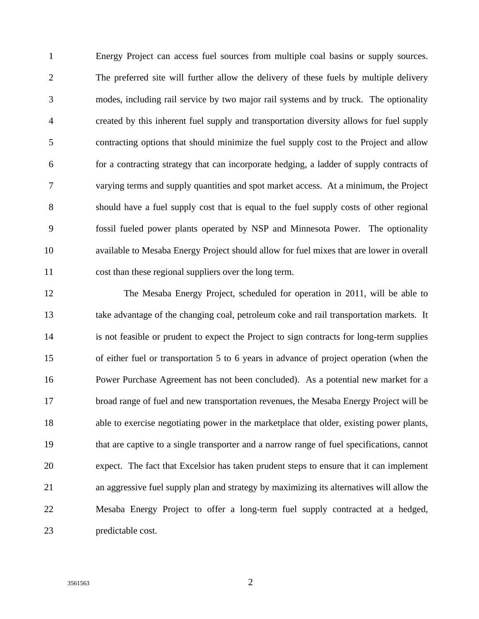1 Energy Project can access fuel sources from multiple coal basins or supply sources. 2 The preferred site will further allow the delivery of these fuels by multiple delivery 3 modes, including rail service by two major rail systems and by truck. The optionality 4 created by this inherent fuel supply and transportation diversity allows for fuel supply 5 contracting options that should minimize the fuel supply cost to the Project and allow 6 for a contracting strategy that can incorporate hedging, a ladder of supply contracts of 7 varying terms and supply quantities and spot market access. At a minimum, the Project 8 should have a fuel supply cost that is equal to the fuel supply costs of other regional 9 fossil fueled power plants operated by NSP and Minnesota Power. The optionality 10 available to Mesaba Energy Project should allow for fuel mixes that are lower in overall 11 cost than these regional suppliers over the long term.

12 The Mesaba Energy Project, scheduled for operation in 2011, will be able to 13 take advantage of the changing coal, petroleum coke and rail transportation markets. It 14 is not feasible or prudent to expect the Project to sign contracts for long-term supplies 15 of either fuel or transportation 5 to 6 years in advance of project operation (when the 16 Power Purchase Agreement has not been concluded). As a potential new market for a 17 broad range of fuel and new transportation revenues, the Mesaba Energy Project will be 18 able to exercise negotiating power in the marketplace that older, existing power plants, 19 that are captive to a single transporter and a narrow range of fuel specifications, cannot 20 expect. The fact that Excelsior has taken prudent steps to ensure that it can implement 21 an aggressive fuel supply plan and strategy by maximizing its alternatives will allow the 22 Mesaba Energy Project to offer a long-term fuel supply contracted at a hedged, 23 predictable cost.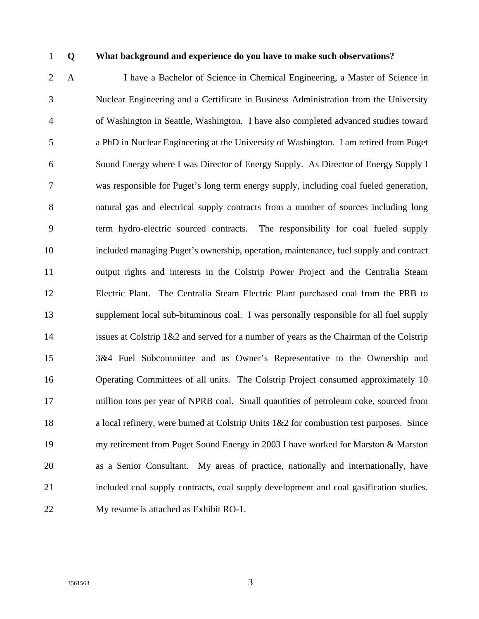#### 1 **Q What background and experience do you have to make such observations?**

2 A I have a Bachelor of Science in Chemical Engineering, a Master of Science in 3 Nuclear Engineering and a Certificate in Business Administration from the University 4 of Washington in Seattle, Washington. I have also completed advanced studies toward 5 a PhD in Nuclear Engineering at the University of Washington. I am retired from Puget 6 Sound Energy where I was Director of Energy Supply. As Director of Energy Supply I 7 was responsible for Puget's long term energy supply, including coal fueled generation, 8 natural gas and electrical supply contracts from a number of sources including long 9 term hydro-electric sourced contracts. The responsibility for coal fueled supply 10 included managing Puget's ownership, operation, maintenance, fuel supply and contract 11 output rights and interests in the Colstrip Power Project and the Centralia Steam 12 Electric Plant. The Centralia Steam Electric Plant purchased coal from the PRB to 13 supplement local sub-bituminous coal. I was personally responsible for all fuel supply 14 issues at Colstrip 1&2 and served for a number of years as the Chairman of the Colstrip 15 3&4 Fuel Subcommittee and as Owner's Representative to the Ownership and 16 Operating Committees of all units. The Colstrip Project consumed approximately 10 17 million tons per year of NPRB coal. Small quantities of petroleum coke, sourced from 18 a local refinery, were burned at Colstrip Units 1&2 for combustion test purposes. Since 19 my retirement from Puget Sound Energy in 2003 I have worked for Marston & Marston 20 as a Senior Consultant. My areas of practice, nationally and internationally, have 21 included coal supply contracts, coal supply development and coal gasification studies. 22 My resume is attached as Exhibit RO-1.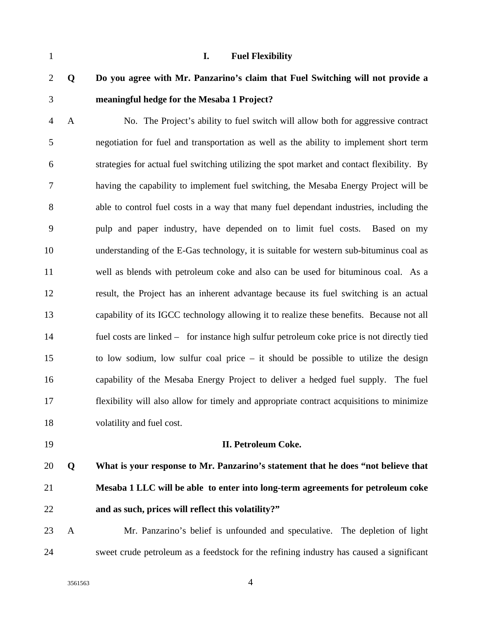| $\mathbf{1}$   |              | <b>Fuel Flexibility</b><br>I.                                                              |
|----------------|--------------|--------------------------------------------------------------------------------------------|
| $\mathbf{2}$   | Q            | Do you agree with Mr. Panzarino's claim that Fuel Switching will not provide a             |
| $\mathfrak{Z}$ |              | meaningful hedge for the Mesaba 1 Project?                                                 |
| $\overline{4}$ | $\mathbf{A}$ | No. The Project's ability to fuel switch will allow both for aggressive contract           |
| 5              |              | negotiation for fuel and transportation as well as the ability to implement short term     |
| 6              |              | strategies for actual fuel switching utilizing the spot market and contact flexibility. By |
| 7              |              | having the capability to implement fuel switching, the Mesaba Energy Project will be       |
| $8\,$          |              | able to control fuel costs in a way that many fuel dependant industries, including the     |
| 9              |              | pulp and paper industry, have depended on to limit fuel costs.<br>Based on my              |
| 10             |              | understanding of the E-Gas technology, it is suitable for western sub-bituminus coal as    |
| 11             |              | well as blends with petroleum coke and also can be used for bituminous coal. As a          |
| 12             |              | result, the Project has an inherent advantage because its fuel switching is an actual      |
| 13             |              | capability of its IGCC technology allowing it to realize these benefits. Because not all   |
| 14             |              | fuel costs are linked – for instance high sulfur petroleum coke price is not directly tied |
| 15             |              | to low sodium, low sulfur coal price $-$ it should be possible to utilize the design       |
| 16             |              | capability of the Mesaba Energy Project to deliver a hedged fuel supply. The fuel          |
| 17             |              | flexibility will also allow for timely and appropriate contract acquisitions to minimize   |
| 18             |              | volatility and fuel cost.                                                                  |
| 19             |              | II. Petroleum Coke.                                                                        |
| 20             | Q            | What is your response to Mr. Panzarino's statement that he does "not believe that          |
| 21             |              | Mesaba 1 LLC will be able to enter into long-term agreements for petroleum coke            |
| 22             |              | and as such, prices will reflect this volatility?"                                         |
| 23             | $\mathbf{A}$ | Mr. Panzarino's belief is unfounded and speculative. The depletion of light                |
| 24             |              | sweet crude petroleum as a feedstock for the refining industry has caused a significant    |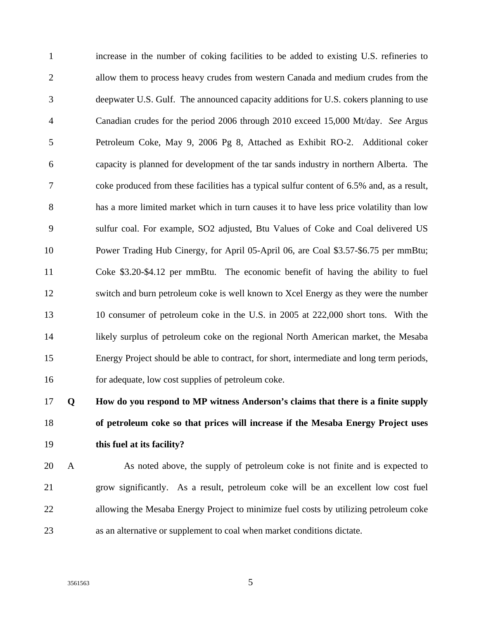1 increase in the number of coking facilities to be added to existing U.S. refineries to 2 allow them to process heavy crudes from western Canada and medium crudes from the 3 deepwater U.S. Gulf. The announced capacity additions for U.S. cokers planning to use 4 Canadian crudes for the period 2006 through 2010 exceed 15,000 Mt/day. *See* Argus 5 Petroleum Coke, May 9, 2006 Pg 8, Attached as Exhibit RO-2. Additional coker 6 capacity is planned for development of the tar sands industry in northern Alberta. The 7 coke produced from these facilities has a typical sulfur content of 6.5% and, as a result, 8 has a more limited market which in turn causes it to have less price volatility than low 9 sulfur coal. For example, SO2 adjusted, Btu Values of Coke and Coal delivered US 10 Power Trading Hub Cinergy, for April 05-April 06, are Coal \$3.57-\$6.75 per mmBtu; 11 Coke \$3.20-\$4.12 per mmBtu. The economic benefit of having the ability to fuel 12 switch and burn petroleum coke is well known to Xcel Energy as they were the number 13 10 consumer of petroleum coke in the U.S. in 2005 at 222,000 short tons. With the 14 likely surplus of petroleum coke on the regional North American market, the Mesaba 15 Energy Project should be able to contract, for short, intermediate and long term periods, 16 for adequate, low cost supplies of petroleum coke.

17 **Q How do you respond to MP witness Anderson's claims that there is a finite supply**  18 **of petroleum coke so that prices will increase if the Mesaba Energy Project uses**  19 **this fuel at its facility?** 

20 A As noted above, the supply of petroleum coke is not finite and is expected to 21 grow significantly. As a result, petroleum coke will be an excellent low cost fuel 22 allowing the Mesaba Energy Project to minimize fuel costs by utilizing petroleum coke 23 as an alternative or supplement to coal when market conditions dictate.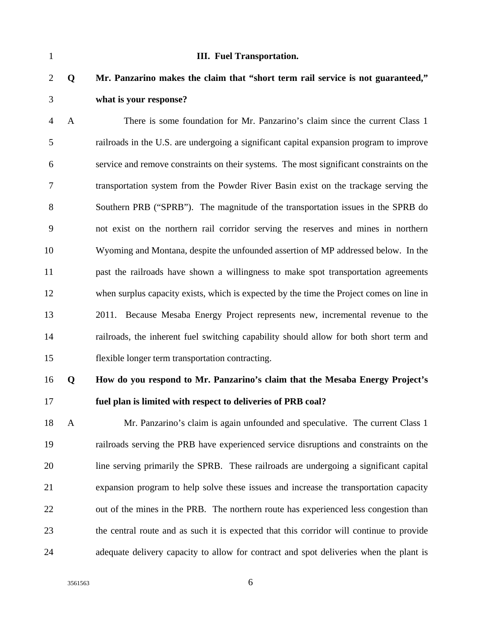| $\mathbf{1}$   |              | <b>III.</b> Fuel Transportation.                                                         |
|----------------|--------------|------------------------------------------------------------------------------------------|
| $\overline{2}$ | Q            | Mr. Panzarino makes the claim that "short term rail service is not guaranteed,"          |
| 3              |              | what is your response?                                                                   |
| $\overline{4}$ | $\mathbf{A}$ | There is some foundation for Mr. Panzarino's claim since the current Class 1             |
| 5              |              | railroads in the U.S. are undergoing a significant capital expansion program to improve  |
| 6              |              | service and remove constraints on their systems. The most significant constraints on the |
| 7              |              | transportation system from the Powder River Basin exist on the trackage serving the      |
| 8              |              | Southern PRB ("SPRB"). The magnitude of the transportation issues in the SPRB do         |
| 9              |              | not exist on the northern rail corridor serving the reserves and mines in northern       |
| 10             |              | Wyoming and Montana, despite the unfounded assertion of MP addressed below. In the       |
| 11             |              | past the railroads have shown a willingness to make spot transportation agreements       |
| 12             |              | when surplus capacity exists, which is expected by the time the Project comes on line in |
| 13             |              | 2011. Because Mesaba Energy Project represents new, incremental revenue to the           |
| 14             |              | railroads, the inherent fuel switching capability should allow for both short term and   |
| 15             |              | flexible longer term transportation contracting.                                         |
| 16             | Q            | How do you respond to Mr. Panzarino's claim that the Mesaba Energy Project's             |
| 17             |              | fuel plan is limited with respect to deliveries of PRB coal?                             |
| 18             | $\mathbf{A}$ | Mr. Panzarino's claim is again unfounded and speculative. The current Class 1            |
| 19             |              | railroads serving the PRB have experienced service disruptions and constraints on the    |
| 20             |              | line serving primarily the SPRB. These railroads are undergoing a significant capital    |
| 21             |              | expansion program to help solve these issues and increase the transportation capacity    |
| 22             |              | out of the mines in the PRB. The northern route has experienced less congestion than     |
| 23             |              | the central route and as such it is expected that this corridor will continue to provide |

24 adequate delivery capacity to allow for contract and spot deliveries when the plant is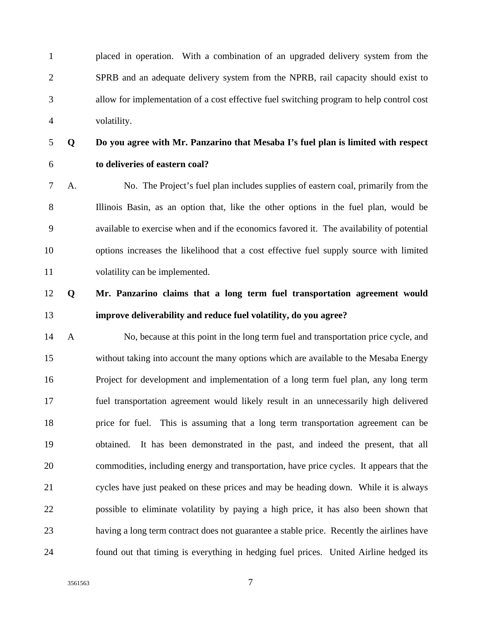1 placed in operation. With a combination of an upgraded delivery system from the 2 SPRB and an adequate delivery system from the NPRB, rail capacity should exist to 3 allow for implementation of a cost effective fuel switching program to help control cost 4 volatility.

### 6 **to deliveries of eastern coal?**

5 **Q Do you agree with Mr. Panzarino that Mesaba I's fuel plan is limited with respect** 

7 A. No. The Project's fuel plan includes supplies of eastern coal, primarily from the 8 Illinois Basin, as an option that, like the other options in the fuel plan, would be 9 available to exercise when and if the economics favored it. The availability of potential 10 options increases the likelihood that a cost effective fuel supply source with limited 11 volatility can be implemented.

#### 12 **Q Mr. Panzarino claims that a long term fuel transportation agreement would**  13 **improve deliverability and reduce fuel volatility, do you agree?**

14 A No, because at this point in the long term fuel and transportation price cycle, and 15 without taking into account the many options which are available to the Mesaba Energy 16 Project for development and implementation of a long term fuel plan, any long term 17 fuel transportation agreement would likely result in an unnecessarily high delivered 18 price for fuel. This is assuming that a long term transportation agreement can be 19 obtained. It has been demonstrated in the past, and indeed the present, that all 20 commodities, including energy and transportation, have price cycles. It appears that the 21 cycles have just peaked on these prices and may be heading down. While it is always 22 possible to eliminate volatility by paying a high price, it has also been shown that 23 having a long term contract does not guarantee a stable price. Recently the airlines have 24 found out that timing is everything in hedging fuel prices. United Airline hedged its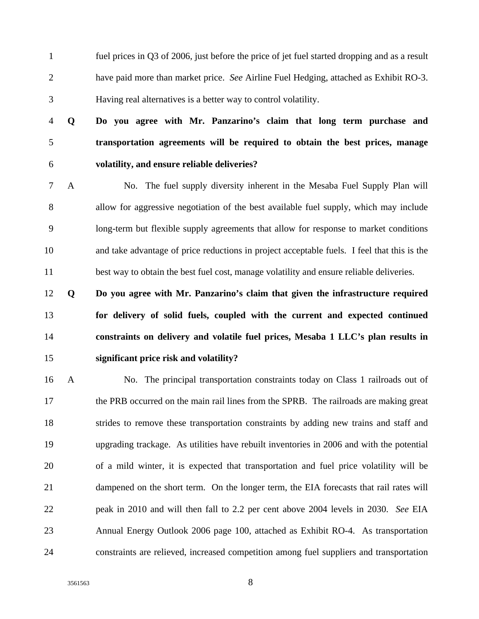1 fuel prices in Q3 of 2006, just before the price of jet fuel started dropping and as a result 2 have paid more than market price. *See* Airline Fuel Hedging, attached as Exhibit RO-3. 3 Having real alternatives is a better way to control volatility.

4 **Q Do you agree with Mr. Panzarino's claim that long term purchase and**  5 **transportation agreements will be required to obtain the best prices, manage**  6 **volatility, and ensure reliable deliveries?** 

7 A No. The fuel supply diversity inherent in the Mesaba Fuel Supply Plan will 8 allow for aggressive negotiation of the best available fuel supply, which may include 9 long-term but flexible supply agreements that allow for response to market conditions 10 and take advantage of price reductions in project acceptable fuels. I feel that this is the 11 best way to obtain the best fuel cost, manage volatility and ensure reliable deliveries.

**Q Do you agree with Mr. Panzarino's claim that given the infrastructure required for delivery of solid fuels, coupled with the current and expected continued constraints on delivery and volatile fuel prices, Mesaba 1 LLC's plan results in significant price risk and volatility?** 

16 A No. The principal transportation constraints today on Class 1 railroads out of 17 the PRB occurred on the main rail lines from the SPRB. The railroads are making great 18 strides to remove these transportation constraints by adding new trains and staff and 19 upgrading trackage. As utilities have rebuilt inventories in 2006 and with the potential 20 of a mild winter, it is expected that transportation and fuel price volatility will be 21 dampened on the short term. On the longer term, the EIA forecasts that rail rates will 22 peak in 2010 and will then fall to 2.2 per cent above 2004 levels in 2030. *See* EIA 23 Annual Energy Outlook 2006 page 100, attached as Exhibit RO-4. As transportation 24 constraints are relieved, increased competition among fuel suppliers and transportation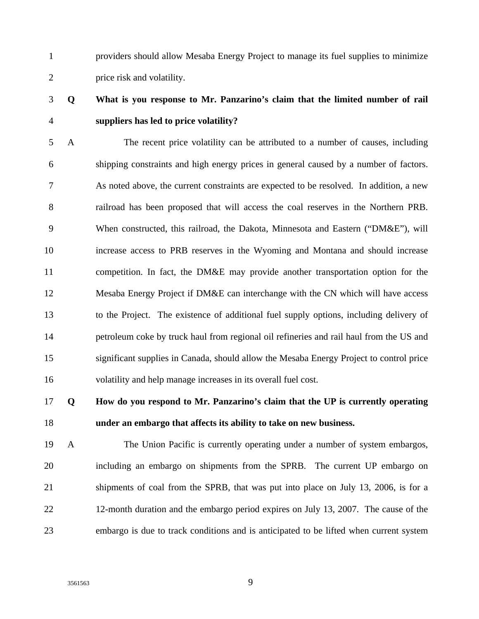1 providers should allow Mesaba Energy Project to manage its fuel supplies to minimize 2 price risk and volatility.

#### 3 **Q What is you response to Mr. Panzarino's claim that the limited number of rail**  4 **suppliers has led to price volatility?**

5 A The recent price volatility can be attributed to a number of causes, including 6 shipping constraints and high energy prices in general caused by a number of factors. 7 As noted above, the current constraints are expected to be resolved. In addition, a new 8 railroad has been proposed that will access the coal reserves in the Northern PRB. 9 When constructed, this railroad, the Dakota, Minnesota and Eastern ("DM&E"), will 10 increase access to PRB reserves in the Wyoming and Montana and should increase 11 competition. In fact, the DM&E may provide another transportation option for the 12 Mesaba Energy Project if DM&E can interchange with the CN which will have access 13 to the Project. The existence of additional fuel supply options, including delivery of 14 petroleum coke by truck haul from regional oil refineries and rail haul from the US and 15 significant supplies in Canada, should allow the Mesaba Energy Project to control price 16 volatility and help manage increases in its overall fuel cost.

#### 17 **Q How do you respond to Mr. Panzarino's claim that the UP is currently operating**  18 **under an embargo that affects its ability to take on new business.**

19 A The Union Pacific is currently operating under a number of system embargos, 20 including an embargo on shipments from the SPRB. The current UP embargo on 21 shipments of coal from the SPRB, that was put into place on July 13, 2006, is for a 22 12-month duration and the embargo period expires on July 13, 2007. The cause of the 23 embargo is due to track conditions and is anticipated to be lifted when current system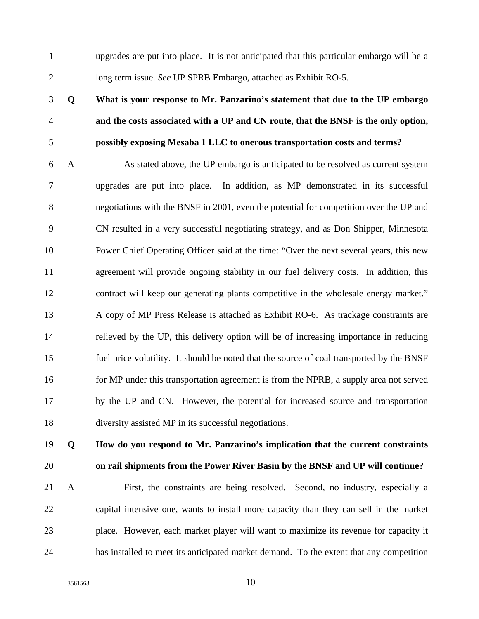1 upgrades are put into place. It is not anticipated that this particular embargo will be a 2 long term issue. *See* UP SPRB Embargo, attached as Exhibit RO-5.

### 3 **Q What is your response to Mr. Panzarino's statement that due to the UP embargo**  4 **and the costs associated with a UP and CN route, that the BNSF is the only option,**  5 **possibly exposing Mesaba 1 LLC to onerous transportation costs and terms?**

6 A As stated above, the UP embargo is anticipated to be resolved as current system 7 upgrades are put into place. In addition, as MP demonstrated in its successful 8 negotiations with the BNSF in 2001, even the potential for competition over the UP and 9 CN resulted in a very successful negotiating strategy, and as Don Shipper, Minnesota 10 Power Chief Operating Officer said at the time: "Over the next several years, this new 11 agreement will provide ongoing stability in our fuel delivery costs. In addition, this 12 contract will keep our generating plants competitive in the wholesale energy market." 13 A copy of MP Press Release is attached as Exhibit RO-6. As trackage constraints are 14 relieved by the UP, this delivery option will be of increasing importance in reducing 15 fuel price volatility. It should be noted that the source of coal transported by the BNSF 16 for MP under this transportation agreement is from the NPRB, a supply area not served 17 by the UP and CN. However, the potential for increased source and transportation 18 diversity assisted MP in its successful negotiations.

#### 19 **Q How do you respond to Mr. Panzarino's implication that the current constraints**  20 **on rail shipments from the Power River Basin by the BNSF and UP will continue?**

21 A First, the constraints are being resolved. Second, no industry, especially a 22 capital intensive one, wants to install more capacity than they can sell in the market 23 place. However, each market player will want to maximize its revenue for capacity it 24 has installed to meet its anticipated market demand. To the extent that any competition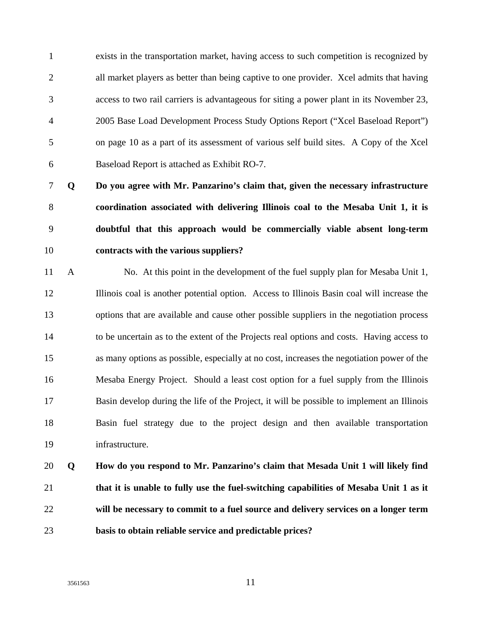1 exists in the transportation market, having access to such competition is recognized by 2 all market players as better than being captive to one provider. Xcel admits that having 3 access to two rail carriers is advantageous for siting a power plant in its November 23, 4 2005 Base Load Development Process Study Options Report ("Xcel Baseload Report") 5 on page 10 as a part of its assessment of various self build sites. A Copy of the Xcel 6 Baseload Report is attached as Exhibit RO-7.

**Q Do you agree with Mr. Panzarino's claim that, given the necessary infrastructure coordination associated with delivering Illinois coal to the Mesaba Unit 1, it is doubtful that this approach would be commercially viable absent long-term contracts with the various suppliers?** 

11 A No. At this point in the development of the fuel supply plan for Mesaba Unit 1, 12 Illinois coal is another potential option. Access to Illinois Basin coal will increase the 13 options that are available and cause other possible suppliers in the negotiation process 14 to be uncertain as to the extent of the Projects real options and costs. Having access to 15 as many options as possible, especially at no cost, increases the negotiation power of the 16 Mesaba Energy Project. Should a least cost option for a fuel supply from the Illinois 17 Basin develop during the life of the Project, it will be possible to implement an Illinois 18 Basin fuel strategy due to the project design and then available transportation 19 infrastructure.

### 20 **Q How do you respond to Mr. Panzarino's claim that Mesada Unit 1 will likely find**  21 **that it is unable to fully use the fuel-switching capabilities of Mesaba Unit 1 as it**  22 **will be necessary to commit to a fuel source and delivery services on a longer term**  23 **basis to obtain reliable service and predictable prices?**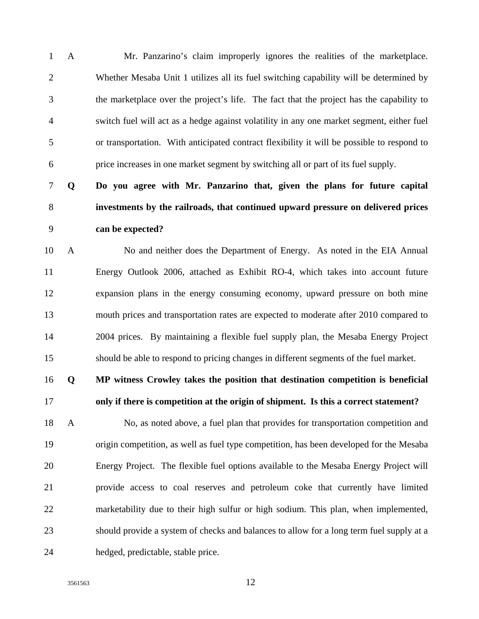1 A Mr. Panzarino's claim improperly ignores the realities of the marketplace. 2 Whether Mesaba Unit 1 utilizes all its fuel switching capability will be determined by 3 the marketplace over the project's life. The fact that the project has the capability to 4 switch fuel will act as a hedge against volatility in any one market segment, either fuel 5 or transportation. With anticipated contract flexibility it will be possible to respond to 6 price increases in one market segment by switching all or part of its fuel supply.

7 **Q Do you agree with Mr. Panzarino that, given the plans for future capital**  8 **investments by the railroads, that continued upward pressure on delivered prices**  9 **can be expected?** 

10 A No and neither does the Department of Energy. As noted in the EIA Annual 11 Energy Outlook 2006, attached as Exhibit RO-4, which takes into account future 12 expansion plans in the energy consuming economy, upward pressure on both mine 13 mouth prices and transportation rates are expected to moderate after 2010 compared to 14 2004 prices. By maintaining a flexible fuel supply plan, the Mesaba Energy Project 15 should be able to respond to pricing changes in different segments of the fuel market.

16 **Q MP witness Crowley takes the position that destination competition is beneficial**  17 **only if there is competition at the origin of shipment. Is this a correct statement?** 

18 A No, as noted above, a fuel plan that provides for transportation competition and 19 origin competition, as well as fuel type competition, has been developed for the Mesaba 20 Energy Project. The flexible fuel options available to the Mesaba Energy Project will 21 provide access to coal reserves and petroleum coke that currently have limited 22 marketability due to their high sulfur or high sodium. This plan, when implemented, 23 should provide a system of checks and balances to allow for a long term fuel supply at a 24 hedged, predictable, stable price.

3561563 12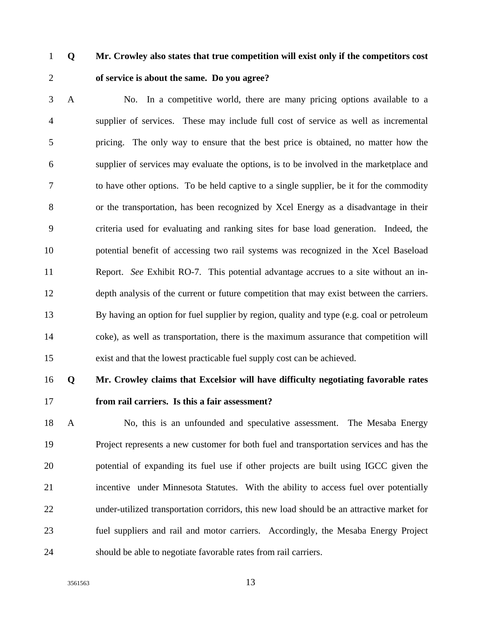#### 1 **Q Mr. Crowley also states that true competition will exist only if the competitors cost**  2 **of service is about the same. Do you agree?**

3 A No. In a competitive world, there are many pricing options available to a 4 supplier of services. These may include full cost of service as well as incremental 5 pricing. The only way to ensure that the best price is obtained, no matter how the 6 supplier of services may evaluate the options, is to be involved in the marketplace and 7 to have other options. To be held captive to a single supplier, be it for the commodity 8 or the transportation, has been recognized by Xcel Energy as a disadvantage in their 9 criteria used for evaluating and ranking sites for base load generation. Indeed, the 10 potential benefit of accessing two rail systems was recognized in the Xcel Baseload 11 Report. *See* Exhibit RO-7. This potential advantage accrues to a site without an in-12 depth analysis of the current or future competition that may exist between the carriers. 13 By having an option for fuel supplier by region, quality and type (e.g. coal or petroleum 14 coke), as well as transportation, there is the maximum assurance that competition will 15 exist and that the lowest practicable fuel supply cost can be achieved.

#### 16 **Q Mr. Crowley claims that Excelsior will have difficulty negotiating favorable rates**  17 **from rail carriers. Is this a fair assessment?**

18 A No, this is an unfounded and speculative assessment. The Mesaba Energy 19 Project represents a new customer for both fuel and transportation services and has the 20 potential of expanding its fuel use if other projects are built using IGCC given the 21 incentive under Minnesota Statutes. With the ability to access fuel over potentially 22 under-utilized transportation corridors, this new load should be an attractive market for 23 fuel suppliers and rail and motor carriers. Accordingly, the Mesaba Energy Project 24 should be able to negotiate favorable rates from rail carriers.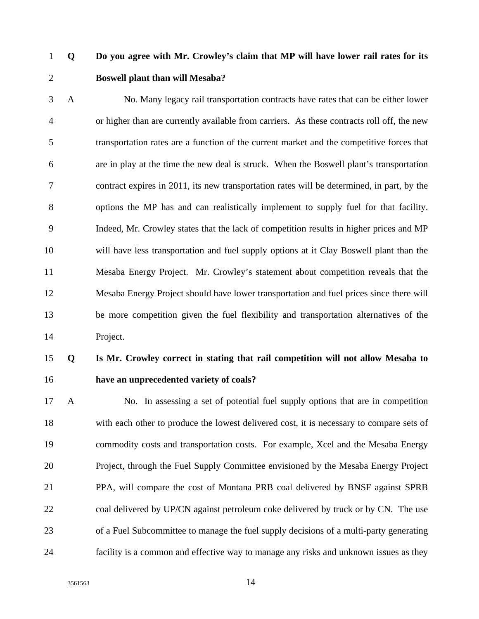#### 1 **Q Do you agree with Mr. Crowley's claim that MP will have lower rail rates for its**  2 **Boswell plant than will Mesaba?**

3 A No. Many legacy rail transportation contracts have rates that can be either lower 4 or higher than are currently available from carriers. As these contracts roll off, the new 5 transportation rates are a function of the current market and the competitive forces that 6 are in play at the time the new deal is struck. When the Boswell plant's transportation 7 contract expires in 2011, its new transportation rates will be determined, in part, by the 8 options the MP has and can realistically implement to supply fuel for that facility. 9 Indeed, Mr. Crowley states that the lack of competition results in higher prices and MP 10 will have less transportation and fuel supply options at it Clay Boswell plant than the 11 Mesaba Energy Project. Mr. Crowley's statement about competition reveals that the 12 Mesaba Energy Project should have lower transportation and fuel prices since there will 13 be more competition given the fuel flexibility and transportation alternatives of the 14 Project.

#### 15 **Q Is Mr. Crowley correct in stating that rail competition will not allow Mesaba to**  16 **have an unprecedented variety of coals?**

17 A No. In assessing a set of potential fuel supply options that are in competition 18 with each other to produce the lowest delivered cost, it is necessary to compare sets of 19 commodity costs and transportation costs. For example, Xcel and the Mesaba Energy 20 Project, through the Fuel Supply Committee envisioned by the Mesaba Energy Project 21 PPA, will compare the cost of Montana PRB coal delivered by BNSF against SPRB 22 coal delivered by UP/CN against petroleum coke delivered by truck or by CN. The use 23 of a Fuel Subcommittee to manage the fuel supply decisions of a multi-party generating 24 facility is a common and effective way to manage any risks and unknown issues as they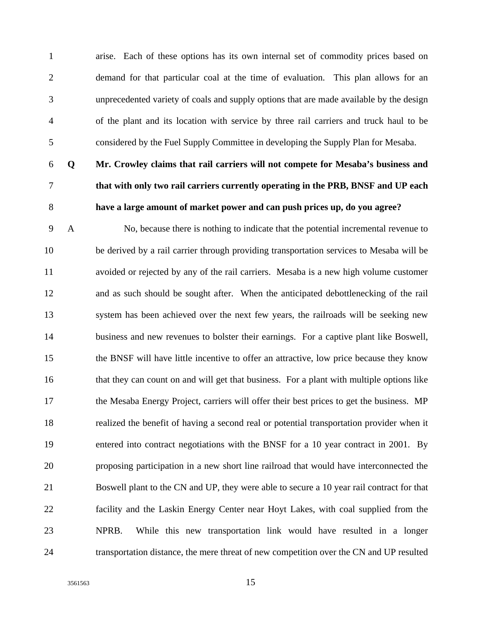1 arise. Each of these options has its own internal set of commodity prices based on 2 demand for that particular coal at the time of evaluation. This plan allows for an 3 unprecedented variety of coals and supply options that are made available by the design 4 of the plant and its location with service by three rail carriers and truck haul to be 5 considered by the Fuel Supply Committee in developing the Supply Plan for Mesaba.

- 
- 

### 6 **Q Mr. Crowley claims that rail carriers will not compete for Mesaba's business and**  7 **that with only two rail carriers currently operating in the PRB, BNSF and UP each**  8 **have a large amount of market power and can push prices up, do you agree?**

9 A No, because there is nothing to indicate that the potential incremental revenue to 10 be derived by a rail carrier through providing transportation services to Mesaba will be 11 avoided or rejected by any of the rail carriers. Mesaba is a new high volume customer 12 and as such should be sought after. When the anticipated debottlenecking of the rail 13 system has been achieved over the next few years, the railroads will be seeking new 14 business and new revenues to bolster their earnings. For a captive plant like Boswell, 15 the BNSF will have little incentive to offer an attractive, low price because they know 16 that they can count on and will get that business. For a plant with multiple options like 17 the Mesaba Energy Project, carriers will offer their best prices to get the business. MP 18 realized the benefit of having a second real or potential transportation provider when it 19 entered into contract negotiations with the BNSF for a 10 year contract in 2001. By 20 proposing participation in a new short line railroad that would have interconnected the 21 Boswell plant to the CN and UP, they were able to secure a 10 year rail contract for that 22 facility and the Laskin Energy Center near Hoyt Lakes, with coal supplied from the 23 NPRB. While this new transportation link would have resulted in a longer 24 transportation distance, the mere threat of new competition over the CN and UP resulted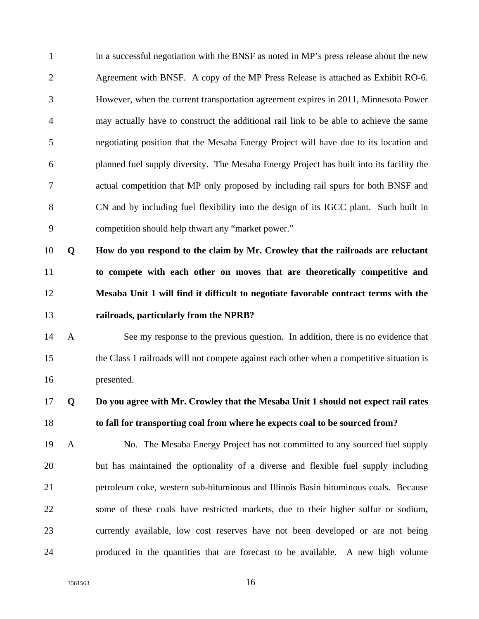| $\mathbf{1}$   |              | in a successful negotiation with the BNSF as noted in MP's press release about the new    |
|----------------|--------------|-------------------------------------------------------------------------------------------|
| $\mathbf{2}$   |              | Agreement with BNSF. A copy of the MP Press Release is attached as Exhibit RO-6.          |
| 3              |              | However, when the current transportation agreement expires in 2011, Minnesota Power       |
| $\overline{4}$ |              | may actually have to construct the additional rail link to be able to achieve the same    |
| 5              |              | negotiating position that the Mesaba Energy Project will have due to its location and     |
| 6              |              | planned fuel supply diversity. The Mesaba Energy Project has built into its facility the  |
| $\tau$         |              | actual competition that MP only proposed by including rail spurs for both BNSF and        |
| 8              |              | CN and by including fuel flexibility into the design of its IGCC plant. Such built in     |
| 9              |              | competition should help thwart any "market power."                                        |
| 10             | Q            | How do you respond to the claim by Mr. Crowley that the railroads are reluctant           |
| 11             |              | to compete with each other on moves that are theoretically competitive and                |
| 12             |              | Mesaba Unit 1 will find it difficult to negotiate favorable contract terms with the       |
| 13             |              | railroads, particularly from the NPRB?                                                    |
| 14             | $\mathbf{A}$ | See my response to the previous question. In addition, there is no evidence that          |
| 15             |              | the Class 1 railroads will not compete against each other when a competitive situation is |
| 16             |              | presented.                                                                                |
| 17             | Q            | Do you agree with Mr. Crowley that the Mesaba Unit 1 should not expect rail rates         |
| 18             |              | to fall for transporting coal from where he expects coal to be sourced from?              |
| 19             | $\mathbf{A}$ | No. The Mesaba Energy Project has not committed to any sourced fuel supply                |
| 20             |              | but has maintained the optionality of a diverse and flexible fuel supply including        |
| 21             |              | petroleum coke, western sub-bituminous and Illinois Basin bituminous coals. Because       |
| 22             |              | some of these coals have restricted markets, due to their higher sulfur or sodium,        |
| 23             |              | currently available, low cost reserves have not been developed or are not being           |
| 24             |              | produced in the quantities that are forecast to be available. A new high volume           |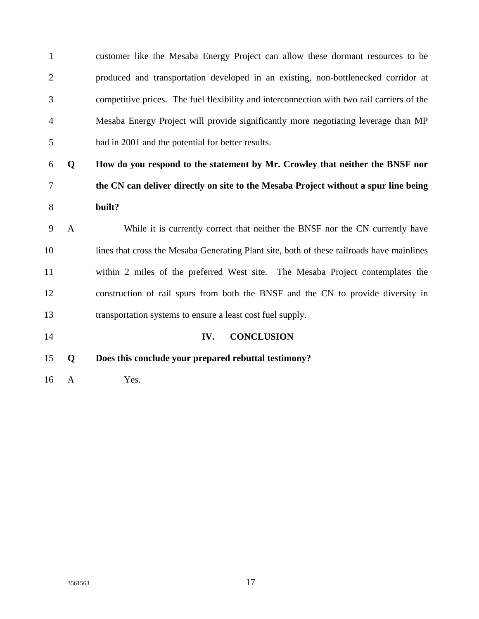1 customer like the Mesaba Energy Project can allow these dormant resources to be 2 produced and transportation developed in an existing, non-bottlenecked corridor at 3 competitive prices. The fuel flexibility and interconnection with two rail carriers of the 4 Mesaba Energy Project will provide significantly more negotiating leverage than MP 5 had in 2001 and the potential for better results.

6 **Q How do you respond to the statement by Mr. Crowley that neither the BNSF nor**  7 **the CN can deliver directly on site to the Mesaba Project without a spur line being**  8 **built?** 

9 A While it is currently correct that neither the BNSF nor the CN currently have 10 lines that cross the Mesaba Generating Plant site, both of these railroads have mainlines 11 within 2 miles of the preferred West site. The Mesaba Project contemplates the 12 construction of rail spurs from both the BNSF and the CN to provide diversity in 13 transportation systems to ensure a least cost fuel supply.

14 **IV. CONCLUSION** 

15 **Q Does this conclude your prepared rebuttal testimony?** 

16 A Yes.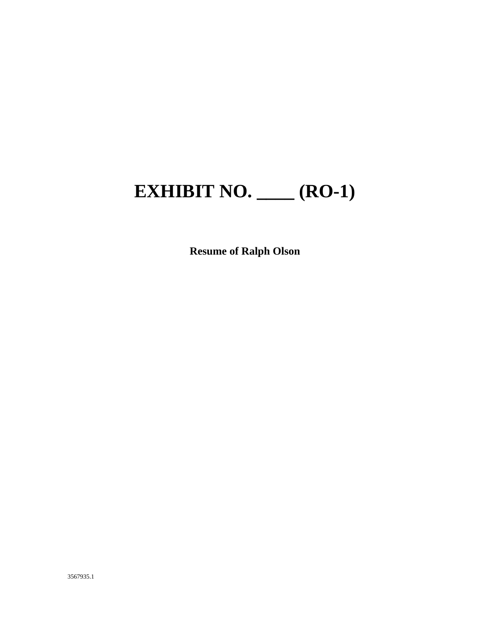# **EXHIBIT NO. \_\_\_\_ (RO-1)**

**Resume of Ralph Olson**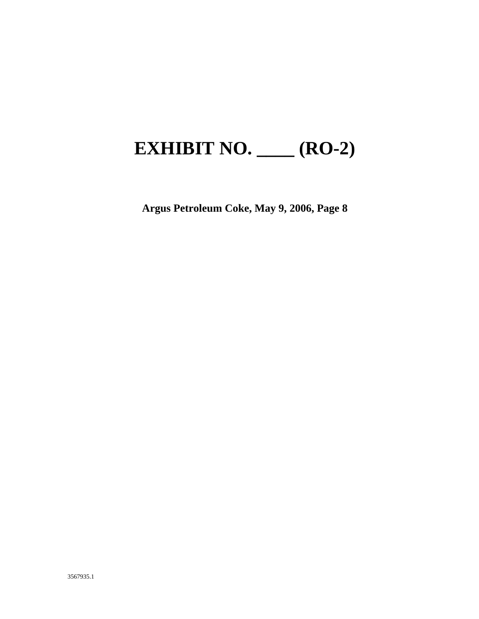## **EXHIBIT NO. \_\_\_\_ (RO-2)**

**Argus Petroleum Coke, May 9, 2006, Page 8**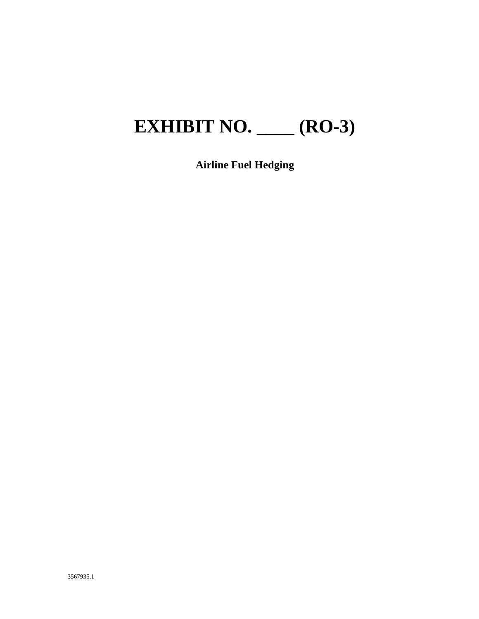# **EXHIBIT NO. \_\_\_\_ (RO-3)**

**Airline Fuel Hedging**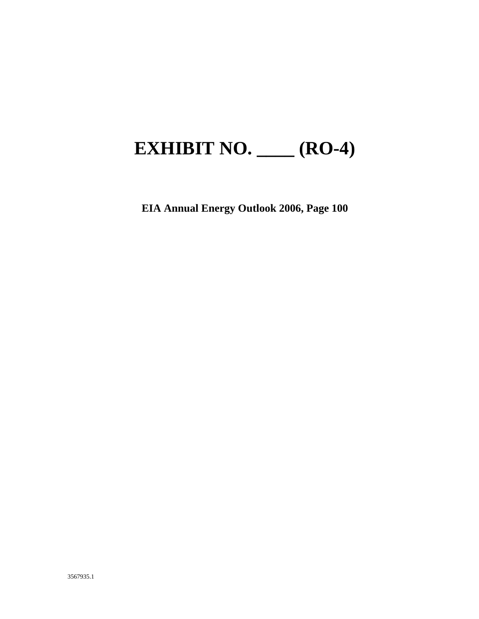## **EXHIBIT NO. \_\_\_\_ (RO-4)**

**EIA Annual Energy Outlook 2006, Page 100**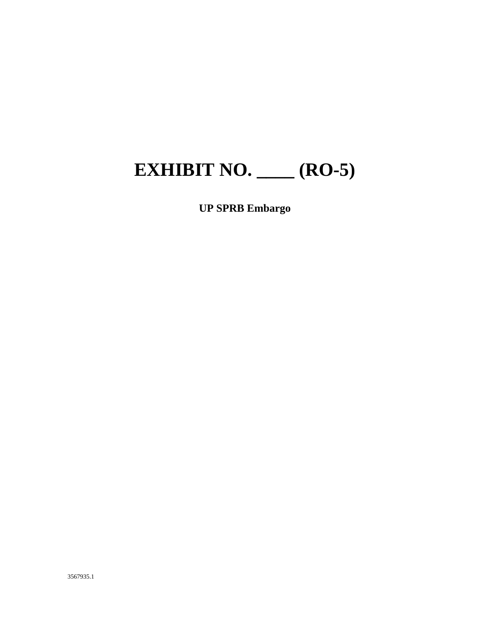## **EXHIBIT NO. \_\_\_\_ (RO-5)**

#### **UP SPRB Embargo**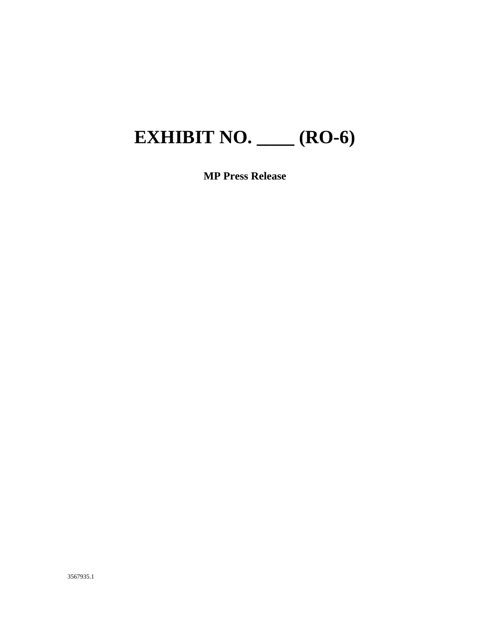## **EXHIBIT NO. \_\_\_\_ (RO-6)**

**MP Press Release**